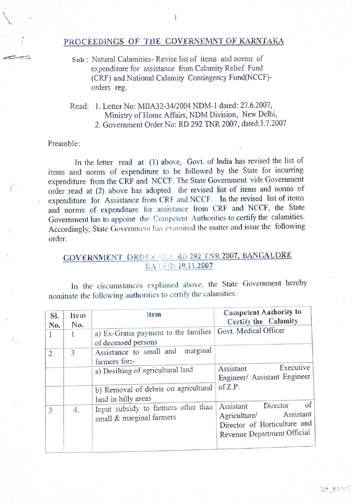## PROCEEDINGS OF THE COVERNEMNT OF KARNTAKA

- Sub: Natural Calamities- Revise list of items and norms of expenditure for assistance from Calamity Relief Fund (CRF) and National Calamity Contingency Fund(NCCF) orders reg.
- Read: 1. Letter No: MIIA32-34/2004 NDM-1 dated: 27.6.2007, Ministry of Home Affairs, NDM Division, New Delhi, 2. Government Order No: RD 292 TNR 2007, dated:3.7.2007

## Preamble:

In the letter read at (1) above, Govt. of India has revised the list of items and norms of expenditure to be followed by the State for incurring expenditure from the CRF and NCCF. The State Government vide Government order read at (2) above has adopted the revised list of items and norms of expenditure for Assistance from CRF and NCCF. In the revised ist of items and norms of expenditure for assistance from CRF and NCCF, the State Government has to appoint the Competent Authorities to certify the calamities. Accordingly, State Governmeni has examined the matter and issue the following order.

## GOVERNMENT ORDER RO: RD 292 TNR 2007, BANGALORE DATED: 19.11.2007

In the circumstances explained above, the State Government hereby nominate the following authorities to certify the calamities:

| SI.<br>No.     | <b>Item</b><br>No. | ltem                                                            | Competent Anthority to<br>Certify the Calamity                                                                                 |
|----------------|--------------------|-----------------------------------------------------------------|--------------------------------------------------------------------------------------------------------------------------------|
|                | 1                  | a) Ex-Gratia payment to the families<br>of deceased persons     | Govt. Medical Officer                                                                                                          |
| $\overline{2}$ | 3                  | marginal<br>Assistance to small and<br>farmers for:-            |                                                                                                                                |
|                |                    | a) Desilting of agricultural land                               | Executive<br>Assistant<br>Engineer/ Assistant Engineer                                                                         |
|                |                    | b) Removal of debris on agricultural<br>land in hilly areas     | of $Z.P.$                                                                                                                      |
| 3              | 4.                 | Input subsidy to farmers other than<br>small & marginal farmers | $\circ$ f<br>Director<br>Assistant<br>Assistant<br>Agriculture/<br>Director of Horticulture and<br>Revenue Department Official |